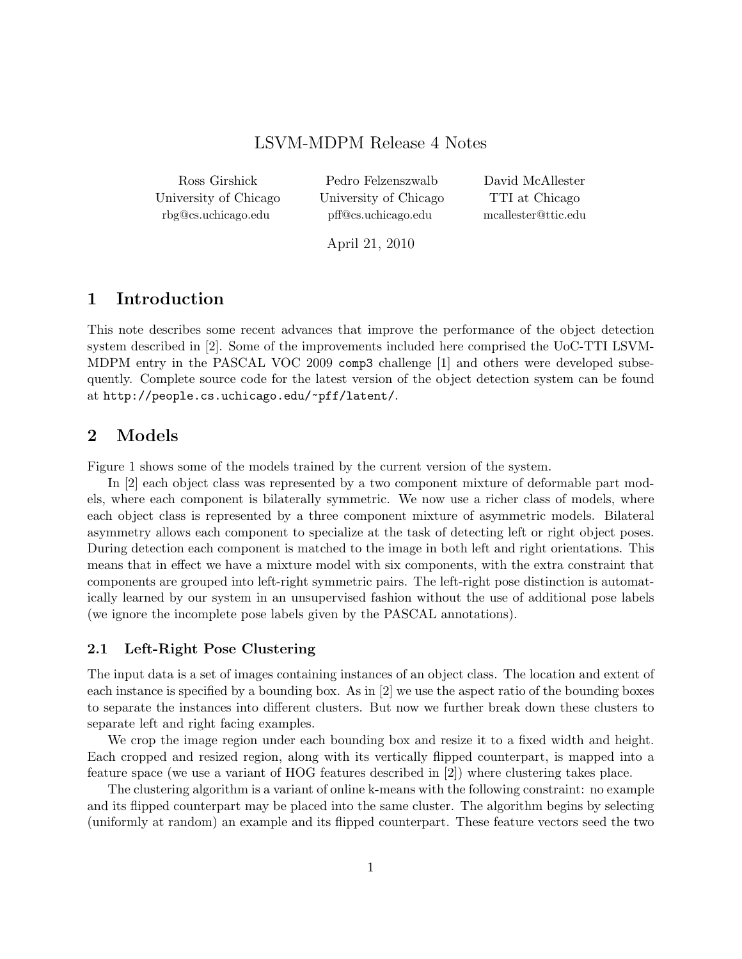# LSVM-MDPM Release 4 Notes

Ross Girshick University of Chicago rbg@cs.uchicago.edu

Pedro Felzenszwalb University of Chicago pff@cs.uchicago.edu

David McAllester TTI at Chicago mcallester@ttic.edu

April 21, 2010

## 1 Introduction

This note describes some recent advances that improve the performance of the object detection system described in [2]. Some of the improvements included here comprised the UoC-TTI LSVM-MDPM entry in the PASCAL VOC 2009 comp3 challenge [1] and others were developed subsequently. Complete source code for the latest version of the object detection system can be found at http://people.cs.uchicago.edu/~pff/latent/.

## 2 Models

Figure 1 shows some of the models trained by the current version of the system.

In [2] each object class was represented by a two component mixture of deformable part models, where each component is bilaterally symmetric. We now use a richer class of models, where each object class is represented by a three component mixture of asymmetric models. Bilateral asymmetry allows each component to specialize at the task of detecting left or right object poses. During detection each component is matched to the image in both left and right orientations. This means that in effect we have a mixture model with six components, with the extra constraint that components are grouped into left-right symmetric pairs. The left-right pose distinction is automatically learned by our system in an unsupervised fashion without the use of additional pose labels (we ignore the incomplete pose labels given by the PASCAL annotations).

### 2.1 Left-Right Pose Clustering

The input data is a set of images containing instances of an object class. The location and extent of each instance is specified by a bounding box. As in [2] we use the aspect ratio of the bounding boxes to separate the instances into different clusters. But now we further break down these clusters to separate left and right facing examples.

We crop the image region under each bounding box and resize it to a fixed width and height. Each cropped and resized region, along with its vertically flipped counterpart, is mapped into a feature space (we use a variant of HOG features described in [2]) where clustering takes place.

The clustering algorithm is a variant of online k-means with the following constraint: no example and its flipped counterpart may be placed into the same cluster. The algorithm begins by selecting (uniformly at random) an example and its flipped counterpart. These feature vectors seed the two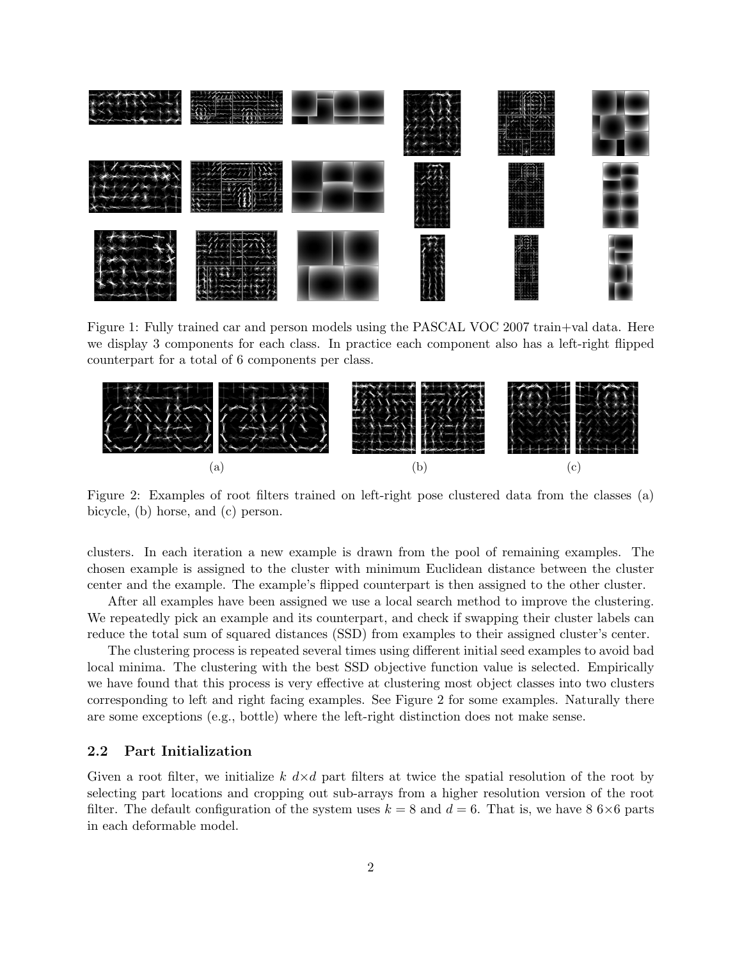

Figure 1: Fully trained car and person models using the PASCAL VOC 2007 train+val data. Here we display 3 components for each class. In practice each component also has a left-right flipped counterpart for a total of 6 components per class.



Figure 2: Examples of root filters trained on left-right pose clustered data from the classes (a) bicycle, (b) horse, and (c) person.

clusters. In each iteration a new example is drawn from the pool of remaining examples. The chosen example is assigned to the cluster with minimum Euclidean distance between the cluster center and the example. The example's flipped counterpart is then assigned to the other cluster.

After all examples have been assigned we use a local search method to improve the clustering. We repeatedly pick an example and its counterpart, and check if swapping their cluster labels can reduce the total sum of squared distances (SSD) from examples to their assigned cluster's center.

The clustering process is repeated several times using different initial seed examples to avoid bad local minima. The clustering with the best SSD objective function value is selected. Empirically we have found that this process is very effective at clustering most object classes into two clusters corresponding to left and right facing examples. See Figure 2 for some examples. Naturally there are some exceptions (e.g., bottle) where the left-right distinction does not make sense.

## 2.2 Part Initialization

Given a root filter, we initialize k  $d \times d$  part filters at twice the spatial resolution of the root by selecting part locations and cropping out sub-arrays from a higher resolution version of the root filter. The default configuration of the system uses  $k = 8$  and  $d = 6$ . That is, we have  $8\,6\times6$  parts in each deformable model.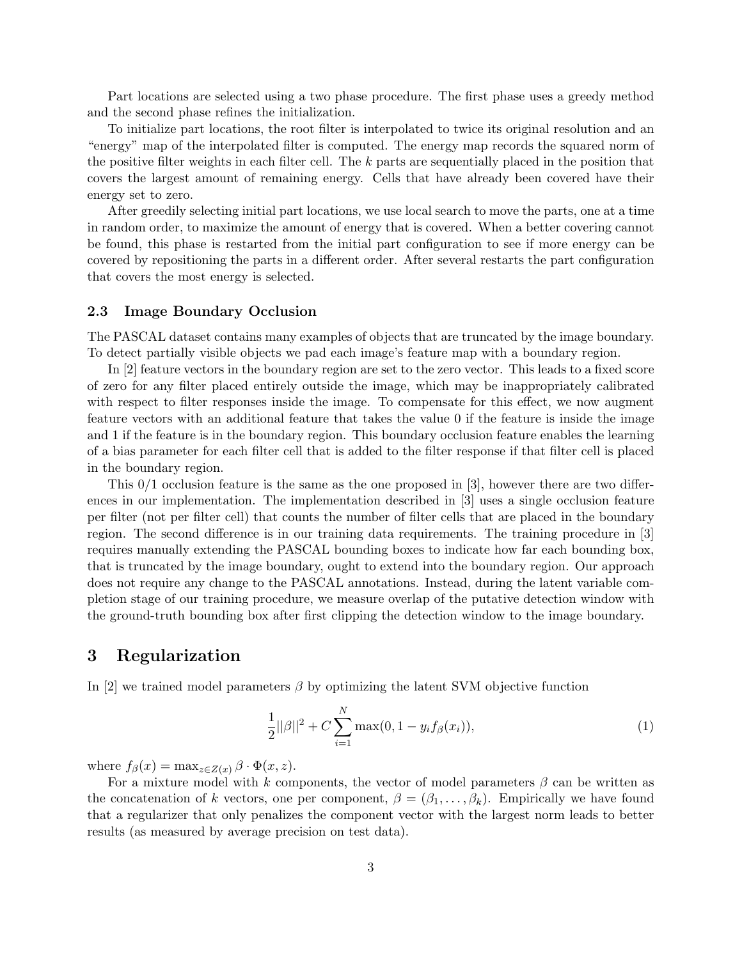Part locations are selected using a two phase procedure. The first phase uses a greedy method and the second phase refines the initialization.

To initialize part locations, the root filter is interpolated to twice its original resolution and an "energy" map of the interpolated filter is computed. The energy map records the squared norm of the positive filter weights in each filter cell. The  $k$  parts are sequentially placed in the position that covers the largest amount of remaining energy. Cells that have already been covered have their energy set to zero.

After greedily selecting initial part locations, we use local search to move the parts, one at a time in random order, to maximize the amount of energy that is covered. When a better covering cannot be found, this phase is restarted from the initial part configuration to see if more energy can be covered by repositioning the parts in a different order. After several restarts the part configuration that covers the most energy is selected.

#### 2.3 Image Boundary Occlusion

The PASCAL dataset contains many examples of objects that are truncated by the image boundary. To detect partially visible objects we pad each image's feature map with a boundary region.

In [2] feature vectors in the boundary region are set to the zero vector. This leads to a fixed score of zero for any filter placed entirely outside the image, which may be inappropriately calibrated with respect to filter responses inside the image. To compensate for this effect, we now augment feature vectors with an additional feature that takes the value 0 if the feature is inside the image and 1 if the feature is in the boundary region. This boundary occlusion feature enables the learning of a bias parameter for each filter cell that is added to the filter response if that filter cell is placed in the boundary region.

This  $0/1$  occlusion feature is the same as the one proposed in [3], however there are two differences in our implementation. The implementation described in [3] uses a single occlusion feature per filter (not per filter cell) that counts the number of filter cells that are placed in the boundary region. The second difference is in our training data requirements. The training procedure in [3] requires manually extending the PASCAL bounding boxes to indicate how far each bounding box, that is truncated by the image boundary, ought to extend into the boundary region. Our approach does not require any change to the PASCAL annotations. Instead, during the latent variable completion stage of our training procedure, we measure overlap of the putative detection window with the ground-truth bounding box after first clipping the detection window to the image boundary.

## 3 Regularization

In [2] we trained model parameters  $\beta$  by optimizing the latent SVM objective function

$$
\frac{1}{2}||\beta||^2 + C\sum_{i=1}^{N}\max(0, 1 - y_i f_{\beta}(x_i)),\tag{1}
$$

where  $f_{\beta}(x) = \max_{z \in Z(x)} \beta \cdot \Phi(x, z)$ .

For a mixture model with k components, the vector of model parameters  $\beta$  can be written as the concatenation of k vectors, one per component,  $\beta = (\beta_1, \ldots, \beta_k)$ . Empirically we have found that a regularizer that only penalizes the component vector with the largest norm leads to better results (as measured by average precision on test data).